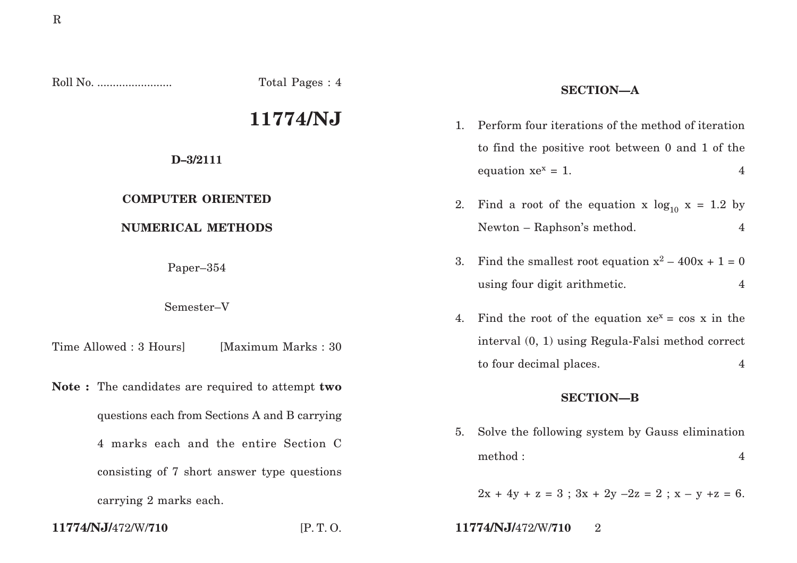Roll No. ........................ Total Pages : 4

# **11774/NJ**

## **D–3/2111**

# **COMPUTER ORIENTED**

# **NUMERICAL METHODS**

Paper–354

Semester–V

Time Allowed : 3 Hours | [Maximum Marks : 30]

**Note :** The candidates are required to attempt **two** questions each from Sections A and B carrying 4 marks each and the entire Section C consisting of 7 short answer type questions carrying 2 marks each.

# **SECTION—A**

- 1. Perform four iterations of the method of iteration to find the positive root between 0 and 1 of the equation  $xe^x = 1$ . 4
- 2. Find a root of the equation x  $log_{10} x = 1.2$  by Newton – Raphson's method. 4
- 3. Find the smallest root equation  $x^2 400x + 1 = 0$ using four digit arithmetic. 4
- 4. Find the root of the equation  $xe^{x} = \cos x$  in the interval (0, 1) using Regula-Falsi method correct to four decimal places. 4

### **SECTION—B**

5. Solve the following system by Gauss elimination method :  $4$ 

 $2x + 4y + z = 3$ ;  $3x + 2y - 2z = 2$ ;  $x - y + z = 6$ .

**11774/NJ/**472/W/**710** [P. T. O. **11774/NJ/**472/W/**710** 2